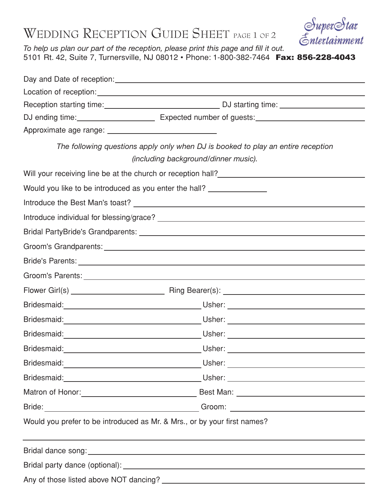## WEDDING RECEPTION GUIDE SHEET PAGE 1 OF 2



*To help us plan our part of the reception, please print this page and fill it out.* 5101 Rt. 42, Suite 7, Turnersville, NJ 08012 • Phone: 1-800-382-7464 Fax: 856-228-4043

| DJ ending time: <u>________________________________</u> Expected number of guests: __________________________________ |
|-----------------------------------------------------------------------------------------------------------------------|
|                                                                                                                       |
| The following questions apply only when DJ is booked to play an entire reception                                      |
| (including background/dinner music).                                                                                  |
| Will your receiving line be at the church or reception hall?<br><u>Lettin manuscress</u>                              |
| Would you like to be introduced as you enter the hall?                                                                |
|                                                                                                                       |
|                                                                                                                       |
|                                                                                                                       |
|                                                                                                                       |
|                                                                                                                       |
|                                                                                                                       |
|                                                                                                                       |
|                                                                                                                       |
|                                                                                                                       |
|                                                                                                                       |
|                                                                                                                       |
|                                                                                                                       |
|                                                                                                                       |
|                                                                                                                       |
|                                                                                                                       |
| Would you prefer to be introduced as Mr. & Mrs., or by your first names?                                              |
|                                                                                                                       |
|                                                                                                                       |
|                                                                                                                       |